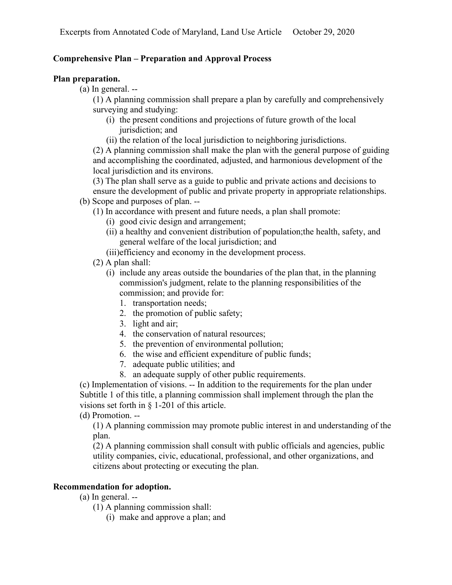# **Comprehensive Plan – Preparation and Approval Process**

## **Plan preparation.**

(a) In general. --

(1) A planning commission shall prepare a plan by carefully and comprehensively surveying and studying:

- (i) the present conditions and projections of future growth of the local jurisdiction; and
- (ii) the relation of the local jurisdiction to neighboring jurisdictions.

(2) A planning commission shall make the plan with the general purpose of guiding and accomplishing the coordinated, adjusted, and harmonious development of the local jurisdiction and its environs.

(3) The plan shall serve as a guide to public and private actions and decisions to ensure the development of public and private property in appropriate relationships.

- (b) Scope and purposes of plan. --
	- (1) In accordance with present and future needs, a plan shall promote:
		- (i) good civic design and arrangement;
		- (ii) a healthy and convenient distribution of population;the health, safety, and general welfare of the local jurisdiction; and
		- (iii)efficiency and economy in the development process.
	- (2) A plan shall:
		- (i) include any areas outside the boundaries of the plan that, in the planning commission's judgment, relate to the planning responsibilities of the commission; and provide for:
			- 1. transportation needs;
			- 2. the promotion of public safety;
			- 3. light and air;
			- 4. the conservation of natural resources;
			- 5. the prevention of environmental pollution;
			- 6. the wise and efficient expenditure of public funds;
			- 7. adequate public utilities; and
			- 8. an adequate supply of other public requirements.

(c) Implementation of visions. -- In addition to the requirements for the plan under Subtitle 1 of this title, a planning commission shall implement through the plan the visions set forth in § 1-201 of this article.

# (d) Promotion. --

(1) A planning commission may promote public interest in and understanding of the plan.

(2) A planning commission shall consult with public officials and agencies, public utility companies, civic, educational, professional, and other organizations, and citizens about protecting or executing the plan.

# **Recommendation for adoption.**

(a) In general. --

- (1) A planning commission shall:
	- (i) make and approve a plan; and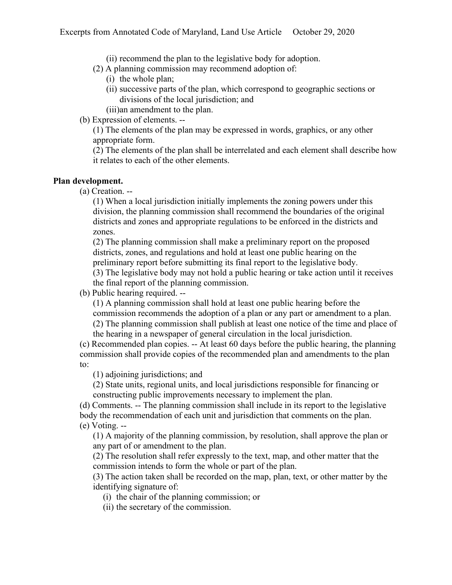(ii) recommend the plan to the legislative body for adoption.

(2) A planning commission may recommend adoption of:

- (i) the whole plan;
- (ii) successive parts of the plan, which correspond to geographic sections or divisions of the local jurisdiction; and

(iii)an amendment to the plan.

(b) Expression of elements. --

(1) The elements of the plan may be expressed in words, graphics, or any other appropriate form.

(2) The elements of the plan shall be interrelated and each element shall describe how it relates to each of the other elements.

### **Plan development.**

(a) Creation. --

(1) When a local jurisdiction initially implements the zoning powers under this division, the planning commission shall recommend the boundaries of the original districts and zones and appropriate regulations to be enforced in the districts and zones.

(2) The planning commission shall make a preliminary report on the proposed districts, zones, and regulations and hold at least one public hearing on the preliminary report before submitting its final report to the legislative body.

(3) The legislative body may not hold a public hearing or take action until it receives the final report of the planning commission.

(b) Public hearing required. --

(1) A planning commission shall hold at least one public hearing before the commission recommends the adoption of a plan or any part or amendment to a plan. (2) The planning commission shall publish at least one notice of the time and place of

the hearing in a newspaper of general circulation in the local jurisdiction.

(c) Recommended plan copies. -- At least 60 days before the public hearing, the planning commission shall provide copies of the recommended plan and amendments to the plan to:

(1) adjoining jurisdictions; and

(2) State units, regional units, and local jurisdictions responsible for financing or constructing public improvements necessary to implement the plan.

(d) Comments. -- The planning commission shall include in its report to the legislative body the recommendation of each unit and jurisdiction that comments on the plan. (e) Voting. --

(1) A majority of the planning commission, by resolution, shall approve the plan or any part of or amendment to the plan.

(2) The resolution shall refer expressly to the text, map, and other matter that the commission intends to form the whole or part of the plan.

(3) The action taken shall be recorded on the map, plan, text, or other matter by the identifying signature of:

(i) the chair of the planning commission; or

(ii) the secretary of the commission.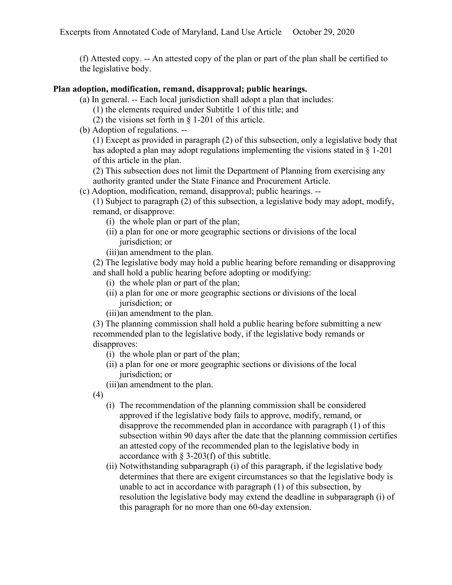(f) Attested copy. -- An attested copy of the plan or part of the plan shall be certified to the legislative body.

### **Plan adoption, modification, remand, disapproval; public hearings.**

- (a) In general. -- Each local jurisdiction shall adopt a plan that includes:
	- (1) the elements required under Subtitle 1 of this title; and
	- (2) the visions set forth in  $\S$  1-201 of this article.
- (b) Adoption of regulations. --

(1) Except as provided in paragraph (2) of this subsection, only a legislative body that has adopted a plan may adopt regulations implementing the visions stated in § 1-201 of this article in the plan.

(2) This subsection does not limit the Department of Planning from exercising any authority granted under the State Finance and Procurement Article.

(c) Adoption, modification, remand, disapproval; public hearings. --

(1) Subject to paragraph (2) of this subsection, a legislative body may adopt, modify, remand, or disapprove:

- (i) the whole plan or part of the plan;
- (ii) a plan for one or more geographic sections or divisions of the local jurisdiction; or
- (iii)an amendment to the plan.

(2) The legislative body may hold a public hearing before remanding or disapproving and shall hold a public hearing before adopting or modifying:

- (i) the whole plan or part of the plan;
- (ii) a plan for one or more geographic sections or divisions of the local jurisdiction; or
- (iii)an amendment to the plan.

(3) The planning commission shall hold a public hearing before submitting a new recommended plan to the legislative body, if the legislative body remands or disapproves:

- (i) the whole plan or part of the plan;
- (ii) a plan for one or more geographic sections or divisions of the local jurisdiction; or

(iii)an amendment to the plan.

- (4)
	- (i) The recommendation of the planning commission shall be considered approved if the legislative body fails to approve, modify, remand, or disapprove the recommended plan in accordance with paragraph (1) of this subsection within 90 days after the date that the planning commission certifies an attested copy of the recommended plan to the legislative body in accordance with § 3-203(f) of this subtitle.
	- (ii) Notwithstanding subparagraph (i) of this paragraph, if the legislative body determines that there are exigent circumstances so that the legislative body is unable to act in accordance with paragraph (1) of this subsection, by resolution the legislative body may extend the deadline in subparagraph (i) of this paragraph for no more than one 60-day extension.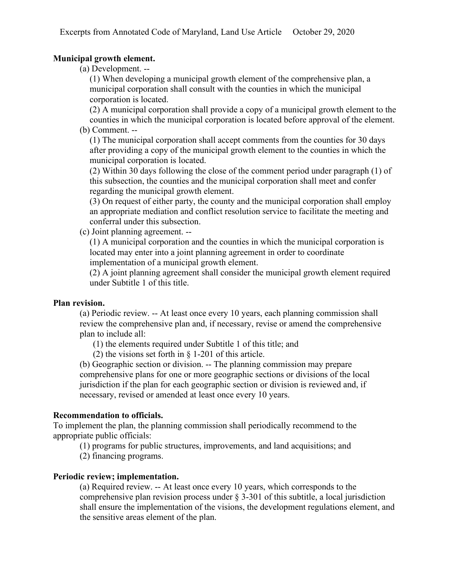## **Municipal growth element.**

(a) Development. --

(1) When developing a municipal growth element of the comprehensive plan, a municipal corporation shall consult with the counties in which the municipal corporation is located.

(2) A municipal corporation shall provide a copy of a municipal growth element to the counties in which the municipal corporation is located before approval of the element. (b) Comment. --

(1) The municipal corporation shall accept comments from the counties for 30 days after providing a copy of the municipal growth element to the counties in which the municipal corporation is located.

(2) Within 30 days following the close of the comment period under paragraph (1) of this subsection, the counties and the municipal corporation shall meet and confer regarding the municipal growth element.

(3) On request of either party, the county and the municipal corporation shall employ an appropriate mediation and conflict resolution service to facilitate the meeting and conferral under this subsection.

(c) Joint planning agreement. --

(1) A municipal corporation and the counties in which the municipal corporation is located may enter into a joint planning agreement in order to coordinate implementation of a municipal growth element.

(2) A joint planning agreement shall consider the municipal growth element required under Subtitle 1 of this title.

#### **Plan revision.**

(a) Periodic review. -- At least once every 10 years, each planning commission shall review the comprehensive plan and, if necessary, revise or amend the comprehensive plan to include all:

(1) the elements required under Subtitle 1 of this title; and

(2) the visions set forth in § 1-201 of this article.

(b) Geographic section or division. -- The planning commission may prepare comprehensive plans for one or more geographic sections or divisions of the local jurisdiction if the plan for each geographic section or division is reviewed and, if necessary, revised or amended at least once every 10 years.

#### **Recommendation to officials.**

To implement the plan, the planning commission shall periodically recommend to the appropriate public officials:

(1) programs for public structures, improvements, and land acquisitions; and

(2) financing programs.

#### **Periodic review; implementation.**

(a) Required review. -- At least once every 10 years, which corresponds to the comprehensive plan revision process under § 3-301 of this subtitle, a local jurisdiction shall ensure the implementation of the visions, the development regulations element, and the sensitive areas element of the plan.